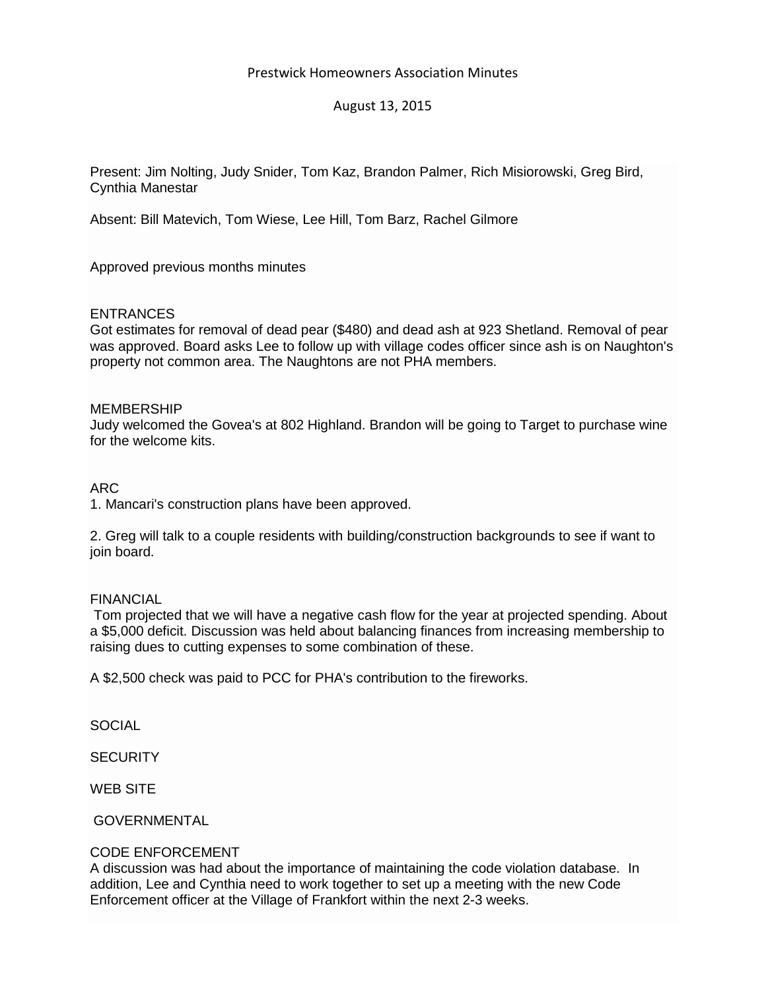# Prestwick Homeowners Association Minutes

# August 13, 2015

Present: Jim Nolting, Judy Snider, Tom Kaz, Brandon Palmer, Rich Misiorowski, Greg Bird, Cynthia Manestar

Absent: Bill Matevich, Tom Wiese, Lee Hill, Tom Barz, Rachel Gilmore

Approved previous months minutes

# **ENTRANCES**

Got estimates for removal of dead pear (\$480) and dead ash at 923 Shetland. Removal of pear was approved. Board asks Lee to follow up with village codes officer since ash is on Naughton's property not common area. The Naughtons are not PHA members.

## MEMBERSHIP

Judy welcomed the Govea's at 802 Highland. Brandon will be going to Target to purchase wine for the welcome kits.

## ARC

1. Mancari's construction plans have been approved.

2. Greg will talk to a couple residents with building/construction backgrounds to see if want to join board.

## FINANCIAL

Tom projected that we will have a negative cash flow for the year at projected spending. About a \$5,000 deficit. Discussion was held about balancing finances from increasing membership to raising dues to cutting expenses to some combination of these.

A \$2,500 check was paid to PCC for PHA's contribution to the fireworks.

**SOCIAL** 

**SECURITY** 

WEB SITE

GOVERNMENTAL

## CODE ENFORCEMENT

A discussion was had about the importance of maintaining the code violation database. In addition, Lee and Cynthia need to work together to set up a meeting with the new Code Enforcement officer at the Village of Frankfort within the next 2-3 weeks.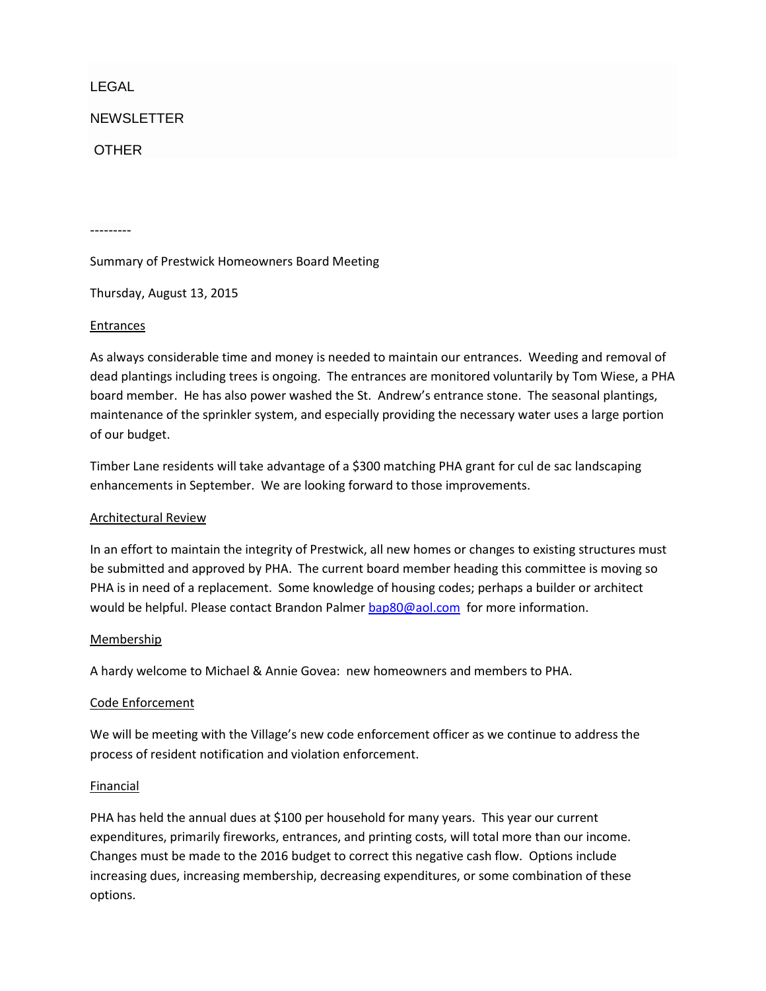# LEGAL

**NEWSLETTER** 

## **OTHER**

---------

Summary of Prestwick Homeowners Board Meeting

Thursday, August 13, 2015

#### Entrances

As always considerable time and money is needed to maintain our entrances. Weeding and removal of dead plantings including trees is ongoing. The entrances are monitored voluntarily by Tom Wiese, a PHA board member. He has also power washed the St. Andrew's entrance stone. The seasonal plantings, maintenance of the sprinkler system, and especially providing the necessary water uses a large portion of our budget.

Timber Lane residents will take advantage of a \$300 matching PHA grant for cul de sac landscaping enhancements in September. We are looking forward to those improvements.

## Architectural Review

In an effort to maintain the integrity of Prestwick, all new homes or changes to existing structures must be submitted and approved by PHA. The current board member heading this committee is moving so PHA is in need of a replacement. Some knowledge of housing codes; perhaps a builder or architect would be helpful. Please contact Brandon Palme[r bap80@aol.com](mailto:bap80@aol.com) for more information.

## **Membership**

A hardy welcome to Michael & Annie Govea: new homeowners and members to PHA.

#### Code Enforcement

We will be meeting with the Village's new code enforcement officer as we continue to address the process of resident notification and violation enforcement.

#### Financial

PHA has held the annual dues at \$100 per household for many years. This year our current expenditures, primarily fireworks, entrances, and printing costs, will total more than our income. Changes must be made to the 2016 budget to correct this negative cash flow. Options include increasing dues, increasing membership, decreasing expenditures, or some combination of these options.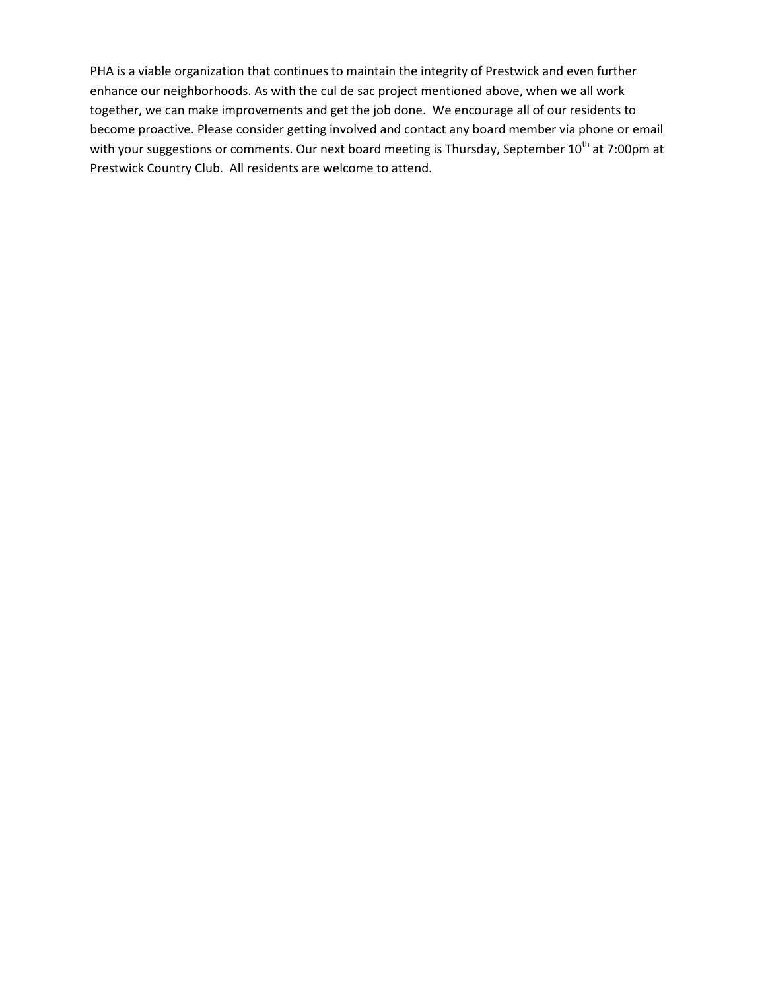PHA is a viable organization that continues to maintain the integrity of Prestwick and even further enhance our neighborhoods. As with the cul de sac project mentioned above, when we all work together, we can make improvements and get the job done. We encourage all of our residents to become proactive. Please consider getting involved and contact any board member via phone or email with your suggestions or comments. Our next board meeting is Thursday, September 10<sup>th</sup> at 7:00pm at Prestwick Country Club. All residents are welcome to attend.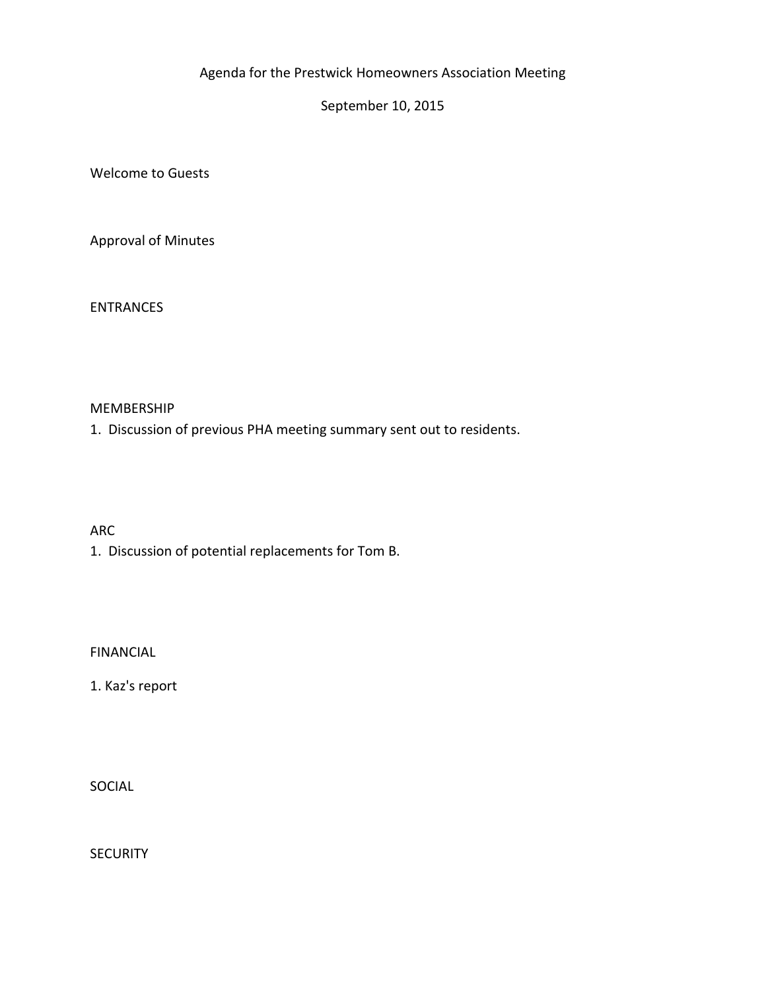# Agenda for the Prestwick Homeowners Association Meeting

September 10, 2015

Welcome to Guests

Approval of Minutes

ENTRANCES

# MEMBERSHIP

1. Discussion of previous PHA meeting summary sent out to residents.

ARC

1. Discussion of potential replacements for Tom B.

FINANCIAL

1. Kaz's report

SOCIAL

**SECURITY**